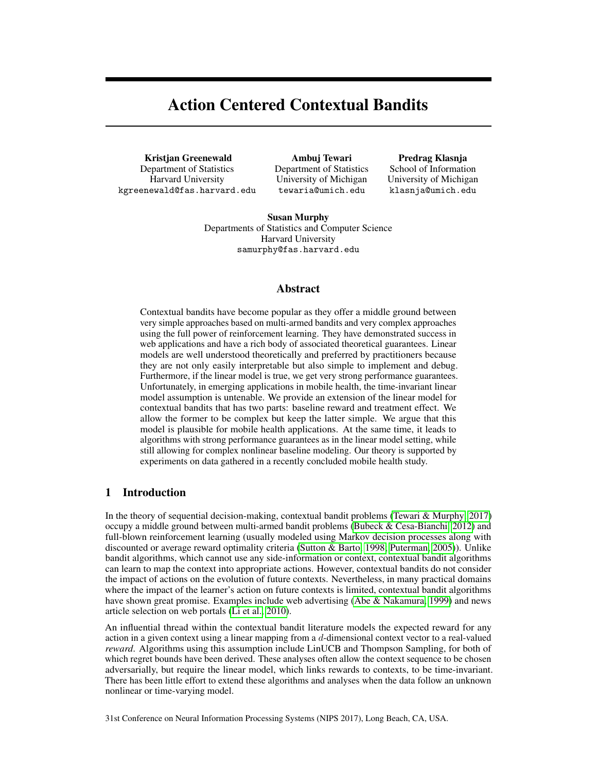# Action Centered Contextual Bandits

Kristjan Greenewald Department of Statistics Harvard University kgreenewald@fas.harvard.edu

Ambuj Tewari Department of Statistics University of Michigan tewaria@umich.edu

Predrag Klasnja School of Information University of Michigan klasnja@umich.edu

Susan Murphy Departments of Statistics and Computer Science Harvard University samurphy@fas.harvard.edu

## Abstract

Contextual bandits have become popular as they offer a middle ground between very simple approaches based on multi-armed bandits and very complex approaches using the full power of reinforcement learning. They have demonstrated success in web applications and have a rich body of associated theoretical guarantees. Linear models are well understood theoretically and preferred by practitioners because they are not only easily interpretable but also simple to implement and debug. Furthermore, if the linear model is true, we get very strong performance guarantees. Unfortunately, in emerging applications in mobile health, the time-invariant linear model assumption is untenable. We provide an extension of the linear model for contextual bandits that has two parts: baseline reward and treatment effect. We allow the former to be complex but keep the latter simple. We argue that this model is plausible for mobile health applications. At the same time, it leads to algorithms with strong performance guarantees as in the linear model setting, while still allowing for complex nonlinear baseline modeling. Our theory is supported by experiments on data gathered in a recently concluded mobile health study.

# 1 Introduction

In the theory of sequential decision-making, contextual bandit problems (Tewari & Murphy, 2017) occupy a middle ground between multi-armed bandit problems (Bubeck & Cesa-Bianchi, 2012) and full-blown reinforcement learning (usually modeled using Markov decision processes along with discounted or average reward optimality criteria (Sutton & Barto, 1998; Puterman, 2005)). Unlike bandit algorithms, which cannot use any side-information or context, contextual bandit algorithms can learn to map the context into appropriate actions. However, contextual bandits do not consider the impact of actions on the evolution of future contexts. Nevertheless, in many practical domains where the impact of the learner's action on future contexts is limited, contextual bandit algorithms have shown great promise. Examples include web advertising (Abe & Nakamura, 1999) and news article selection on web portals (Li et al., 2010).

An influential thread within the contextual bandit literature models the expected reward for any action in a given context using a linear mapping from a d-dimensional context vector to a real-valued *reward*. Algorithms using this assumption include LinUCB and Thompson Sampling, for both of which regret bounds have been derived. These analyses often allow the context sequence to be chosen adversarially, but require the linear model, which links rewards to contexts, to be time-invariant. There has been little effort to extend these algorithms and analyses when the data follow an unknown nonlinear or time-varying model.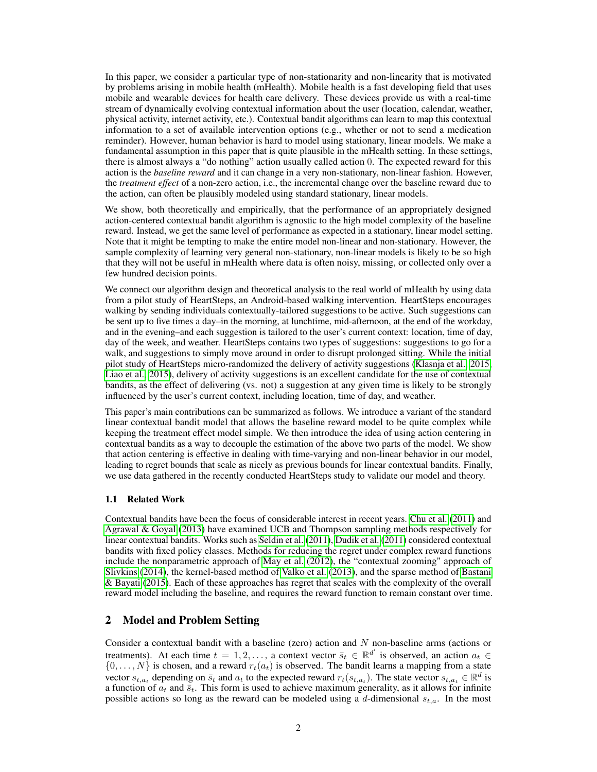In this paper, we consider a particular type of non-stationarity and non-linearity that is motivated by problems arising in mobile health (mHealth). Mobile health is a fast developing field that uses mobile and wearable devices for health care delivery. These devices provide us with a real-time stream of dynamically evolving contextual information about the user (location, calendar, weather, physical activity, internet activity, etc.). Contextual bandit algorithms can learn to map this contextual information to a set of available intervention options (e.g., whether or not to send a medication reminder). However, human behavior is hard to model using stationary, linear models. We make a fundamental assumption in this paper that is quite plausible in the mHealth setting. In these settings, there is almost always a "do nothing" action usually called action 0. The expected reward for this action is the *baseline reward* and it can change in a very non-stationary, non-linear fashion. However, the *treatment effect* of a non-zero action, i.e., the incremental change over the baseline reward due to the action, can often be plausibly modeled using standard stationary, linear models.

We show, both theoretically and empirically, that the performance of an appropriately designed action-centered contextual bandit algorithm is agnostic to the high model complexity of the baseline reward. Instead, we get the same level of performance as expected in a stationary, linear model setting. Note that it might be tempting to make the entire model non-linear and non-stationary. However, the sample complexity of learning very general non-stationary, non-linear models is likely to be so high that they will not be useful in mHealth where data is often noisy, missing, or collected only over a few hundred decision points.

We connect our algorithm design and theoretical analysis to the real world of mHealth by using data from a pilot study of HeartSteps, an Android-based walking intervention. HeartSteps encourages walking by sending individuals contextually-tailored suggestions to be active. Such suggestions can be sent up to five times a day–in the morning, at lunchtime, mid-afternoon, at the end of the workday, and in the evening–and each suggestion is tailored to the user's current context: location, time of day, day of the week, and weather. HeartSteps contains two types of suggestions: suggestions to go for a walk, and suggestions to simply move around in order to disrupt prolonged sitting. While the initial pilot study of HeartSteps micro-randomized the delivery of activity suggestions (Klasnja et al., 2015; Liao et al., 2015), delivery of activity suggestions is an excellent candidate for the use of contextual bandits, as the effect of delivering (vs. not) a suggestion at any given time is likely to be strongly influenced by the user's current context, including location, time of day, and weather.

This paper's main contributions can be summarized as follows. We introduce a variant of the standard linear contextual bandit model that allows the baseline reward model to be quite complex while keeping the treatment effect model simple. We then introduce the idea of using action centering in contextual bandits as a way to decouple the estimation of the above two parts of the model. We show that action centering is effective in dealing with time-varying and non-linear behavior in our model, leading to regret bounds that scale as nicely as previous bounds for linear contextual bandits. Finally, we use data gathered in the recently conducted HeartSteps study to validate our model and theory.

## 1.1 Related Work

Contextual bandits have been the focus of considerable interest in recent years. Chu et al. (2011) and Agrawal & Goyal (2013) have examined UCB and Thompson sampling methods respectively for linear contextual bandits. Works such as Seldin et al. (2011), Dudik et al. (2011) considered contextual bandits with fixed policy classes. Methods for reducing the regret under complex reward functions include the nonparametric approach of May et al. (2012), the "contextual zooming" approach of Slivkins (2014), the kernel-based method of Valko et al. (2013), and the sparse method of Bastani & Bayati (2015). Each of these approaches has regret that scales with the complexity of the overall reward model including the baseline, and requires the reward function to remain constant over time.

# 2 Model and Problem Setting

Consider a contextual bandit with a baseline (zero) action and  $N$  non-baseline arms (actions or treatments). At each time  $t = 1, 2, \ldots$ , a context vector  $\bar{s}_t \in \mathbb{R}^{d'}$  is observed, an action  $a_t \in$  $\{0, \ldots, N\}$  is chosen, and a reward  $r_t(a_t)$  is observed. The bandit learns a mapping from a state vector  $s_{t,a_t}$  depending on  $\bar{s}_t$  and  $a_t$  to the expected reward  $r_t(s_{t,a_t})$ . The state vector  $s_{t,a_t} \in \mathbb{R}^d$  is a function of  $a_t$  and  $\bar{s}_t$ . This form is used to achieve maximum generality, as it allows for infinite possible actions so long as the reward can be modeled using a d-dimensional  $s_{t,a}$ . In the most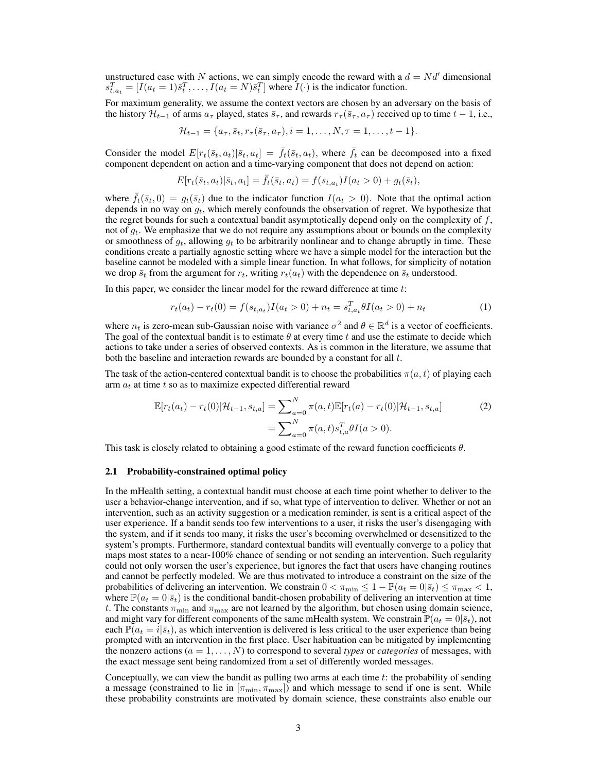unstructured case with N actions, we can simply encode the reward with a  $d = Nd'$  dimensional  $s_{t,a_t}^T = [I(a_t = 1)\bar{s}_t^T, \dots, I(a_t = N)\bar{s}_t^T]$  where  $I(\cdot)$  is the indicator function.

For maximum generality, we assume the context vectors are chosen by an adversary on the basis of the history  $\mathcal{H}_{t-1}$  of arms  $a_{\tau}$  played, states  $\bar{s}_{\tau}$ , and rewards  $r_{\tau}(\bar{s}_{\tau}, a_{\tau})$  received up to time  $t-1$ , i.e.,

$$
\mathcal{H}_{t-1} = \{a_{\tau}, \bar{s}_t, r_{\tau}(\bar{s}_{\tau}, a_{\tau}), i = 1, \ldots, N, \tau = 1, \ldots, t-1\}.
$$

Consider the model  $E[r_t(\bar{s}_t, a_t)|\bar{s}_t, a_t] = \bar{f}_t(\bar{s}_t, a_t)$ , where  $\bar{f}_t$  can be decomposed into a fixed component dependent on action and a time-varying component that does not depend on action:

$$
E[r_t(\bar{s}_t, a_t)|\bar{s}_t, a_t] = \bar{f}_t(\bar{s}_t, a_t) = f(s_{t,a_t})I(a_t > 0) + g_t(\bar{s}_t),
$$

where  $f_t(\bar{s}_t, 0) = g_t(\bar{s}_t)$  due to the indicator function  $I(a_t > 0)$ . Note that the optimal action depends in no way on  $g_t$ , which merely confounds the observation of regret. We hypothesize that the regret bounds for such a contextual bandit asymptotically depend only on the complexity of  $f$ , not of  $g_t$ . We emphasize that we do not require any assumptions about or bounds on the complexity or smoothness of  $g_t$ , allowing  $g_t$  to be arbitrarily nonlinear and to change abruptly in time. These conditions create a partially agnostic setting where we have a simple model for the interaction but the baseline cannot be modeled with a simple linear function. In what follows, for simplicity of notation we drop  $\bar{s}_t$  from the argument for  $r_t$ , writing  $r_t(a_t)$  with the dependence on  $\bar{s}_t$  understood.

In this paper, we consider the linear model for the reward difference at time  $t$ :

$$
r_t(a_t) - r_t(0) = f(s_{t,a_t})I(a_t > 0) + n_t = s_{t,a_t}^T \theta I(a_t > 0) + n_t
$$
\n(1)

where  $n_t$  is zero-mean sub-Gaussian noise with variance  $\sigma^2$  and  $\theta \in \mathbb{R}^d$  is a vector of coefficients. The goal of the contextual bandit is to estimate  $\theta$  at every time t and use the estimate to decide which actions to take under a series of observed contexts. As is common in the literature, we assume that both the baseline and interaction rewards are bounded by a constant for all t.

The task of the action-centered contextual bandit is to choose the probabilities  $\pi(a, t)$  of playing each arm  $a_t$  at time t so as to maximize expected differential reward

$$
\mathbb{E}[r_t(a_t) - r_t(0)|\mathcal{H}_{t-1}, s_{t,a}] = \sum_{a=0}^{N} \pi(a, t)\mathbb{E}[r_t(a) - r_t(0)|\mathcal{H}_{t-1}, s_{t,a}]
$$
\n
$$
= \sum_{a=0}^{N} \pi(a, t)s_{t,a}^T \theta I(a > 0).
$$
\n(2)

This task is closely related to obtaining a good estimate of the reward function coefficients  $\theta$ .

#### 2.1 Probability-constrained optimal policy

In the mHealth setting, a contextual bandit must choose at each time point whether to deliver to the user a behavior-change intervention, and if so, what type of intervention to deliver. Whether or not an intervention, such as an activity suggestion or a medication reminder, is sent is a critical aspect of the user experience. If a bandit sends too few interventions to a user, it risks the user's disengaging with the system, and if it sends too many, it risks the user's becoming overwhelmed or desensitized to the system's prompts. Furthermore, standard contextual bandits will eventually converge to a policy that maps most states to a near-100% chance of sending or not sending an intervention. Such regularity could not only worsen the user's experience, but ignores the fact that users have changing routines and cannot be perfectly modeled. We are thus motivated to introduce a constraint on the size of the probabilities of delivering an intervention. We constrain  $0 < \pi_{\min} \leq 1 - \mathbb{P}(a_t = 0 | \bar{s}_t) \leq \pi_{\max} < 1$ , where  $\mathbb{P}(a_t = 0 | \bar{s}_t)$  is the conditional bandit-chosen probability of delivering an intervention at time t. The constants  $\pi_{\min}$  and  $\pi_{\max}$  are not learned by the algorithm, but chosen using domain science, and might vary for different components of the same mHealth system. We constrain  $\mathbb{P}(a_t = 0 | \bar{s}_t)$ , not each  $\mathbb{P}(a_t = i | \overline{s}_t)$ , as which intervention is delivered is less critical to the user experience than being prompted with an intervention in the first place. User habituation can be mitigated by implementing the nonzero actions  $(a = 1, \ldots, N)$  to correspond to several *types* or *categories* of messages, with the exact message sent being randomized from a set of differently worded messages.

Conceptually, we can view the bandit as pulling two arms at each time  $t$ : the probability of sending a message (constrained to lie in  $[\pi_{\min}, \pi_{\max}]$ ) and which message to send if one is sent. While these probability constraints are motivated by domain science, these constraints also enable our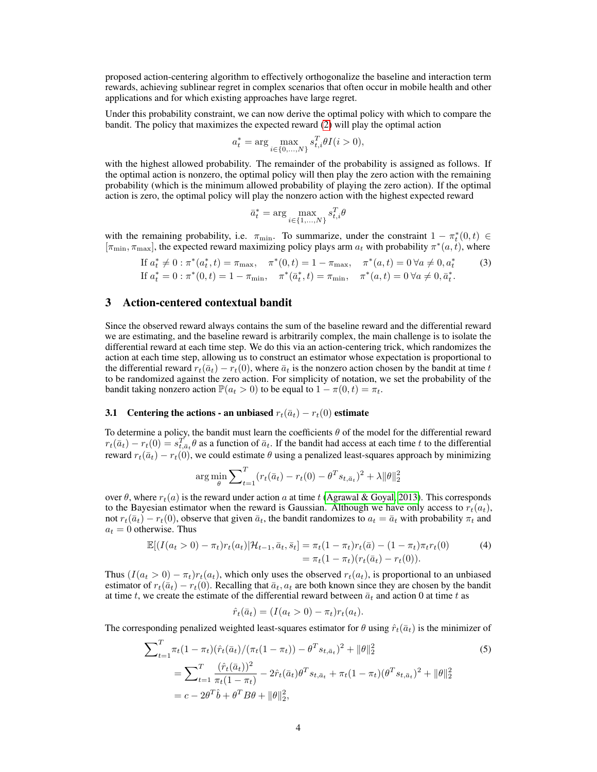proposed action-centering algorithm to effectively orthogonalize the baseline and interaction term rewards, achieving sublinear regret in complex scenarios that often occur in mobile health and other applications and for which existing approaches have large regret.

Under this probability constraint, we can now derive the optimal policy with which to compare the bandit. The policy that maximizes the expected reward (2) will play the optimal action

$$
a_t^* = \arg\max_{i \in \{0, ..., N\}} s_{t,i}^T \theta I(i > 0),
$$

with the highest allowed probability. The remainder of the probability is assigned as follows. If the optimal action is nonzero, the optimal policy will then play the zero action with the remaining probability (which is the minimum allowed probability of playing the zero action). If the optimal action is zero, the optimal policy will play the nonzero action with the highest expected reward

$$
\bar{a}_t^* = \arg\max_{i \in \{1, \dots, N\}} s_{t,i}^T \theta
$$

with the remaining probability, i.e.  $\pi_{\min}$ . To summarize, under the constraint  $1 - \pi_t^*(0, t) \in$  $[\pi_{\min}, \pi_{\max}]$ , the expected reward maximizing policy plays arm  $a_t$  with probability  $\pi^*(a, t)$ , where

If 
$$
a_t^* \neq 0 : \pi^*(a_t^*, t) = \pi_{\text{max}}, \quad \pi^*(0, t) = 1 - \pi_{\text{max}}, \quad \pi^*(a, t) = 0 \,\forall a \neq 0, a_t^*
$$
 (3)  
If  $a_t^* = 0 : \pi^*(0, t) = 1 - \pi_{\text{min}}, \quad \pi^*(\bar{a}_t^*, t) = \pi_{\text{min}}, \quad \pi^*(a, t) = 0 \,\forall a \neq 0, \bar{a}_t^*.$ 

# 3 Action-centered contextual bandit

Since the observed reward always contains the sum of the baseline reward and the differential reward we are estimating, and the baseline reward is arbitrarily complex, the main challenge is to isolate the differential reward at each time step. We do this via an action-centering trick, which randomizes the action at each time step, allowing us to construct an estimator whose expectation is proportional to the differential reward  $r_t(\bar{a}_t) - r_t(0)$ , where  $\bar{a}_t$  is the nonzero action chosen by the bandit at time t to be randomized against the zero action. For simplicity of notation, we set the probability of the bandit taking nonzero action  $\mathbb{P}(a_t > 0)$  to be equal to  $1 - \pi(0, t) = \pi_t$ .

# 3.1 Centering the actions - an unbiased  $r_t(\bar{a}_t) - r_t(0)$  estimate

To determine a policy, the bandit must learn the coefficients  $\theta$  of the model for the differential reward  $r_t(\bar{a}_t) - r_t(0) = s_{t,\bar{a}_t}^T \theta$  as a function of  $\bar{a}_t$ . If the bandit had access at each time t to the differential reward  $r_t(\bar{a}_t) - r_t(0)$ , we could estimate  $\theta$  using a penalized least-squares approach by minimizing

$$
\arg \min_{\theta} \sum_{t=1}^{T} (r_t(\bar{a}_t) - r_t(0) - \theta^T s_{t, \bar{a}_t})^2 + \lambda ||\theta||_2^2
$$

over  $\theta$ , where  $r_t(a)$  is the reward under action a at time t (Agrawal & Goyal, 2013). This corresponds to the Bayesian estimator when the reward is Gaussian. Although we have only access to  $r_t(a_t)$ , not  $r_t(\bar{a}_t) - r_t(0)$ , observe that given  $\bar{a}_t$ , the bandit randomizes to  $a_t = \bar{a}_t$  with probability  $\pi_t$  and  $a_t = 0$  otherwise. Thus

$$
\mathbb{E}[(I(a_t > 0) - \pi_t)r_t(a_t)|\mathcal{H}_{t-1}, \bar{a}_t, \bar{s}_t] = \pi_t(1 - \pi_t)r_t(\bar{a}) - (1 - \pi_t)\pi_t r_t(0)
$$
\n
$$
= \pi_t(1 - \pi_t)(r_t(\bar{a}_t) - r_t(0)).
$$
\n(4)

Thus  $(I(a_t > 0) - \pi_t)r_t(a_t)$ , which only uses the observed  $r_t(a_t)$ , is proportional to an unbiased estimator of  $r_t(\bar{a}_t) - r_t(0)$ . Recalling that  $\bar{a}_t, a_t$  are both known since they are chosen by the bandit at time t, we create the estimate of the differential reward between  $\bar{a}_t$  and action 0 at time t as

$$
\hat{r}_t(\bar{a}_t) = (I(a_t > 0) - \pi_t) r_t(a_t).
$$

The corresponding penalized weighted least-squares estimator for  $\theta$  using  $\hat{r}_t(\bar{a}_t)$  is the minimizer of

$$
\sum_{t=1}^{T} \pi_t (1 - \pi_t) (\hat{r}_t(\bar{a}_t) / (\pi_t(1 - \pi_t)) - \theta^T s_{t, \bar{a}_t})^2 + ||\theta||_2^2
$$
\n
$$
= \sum_{t=1}^{T} \frac{(\hat{r}_t(\bar{a}_t))^2}{\pi_t (1 - \pi_t)} - 2\hat{r}_t(\bar{a}_t) \theta^T s_{t, \bar{a}_t} + \pi_t (1 - \pi_t) (\theta^T s_{t, \bar{a}_t})^2 + ||\theta||_2^2
$$
\n
$$
= c - 2\theta^T \hat{b} + \theta^T B \theta + ||\theta||_2^2,
$$
\n(5)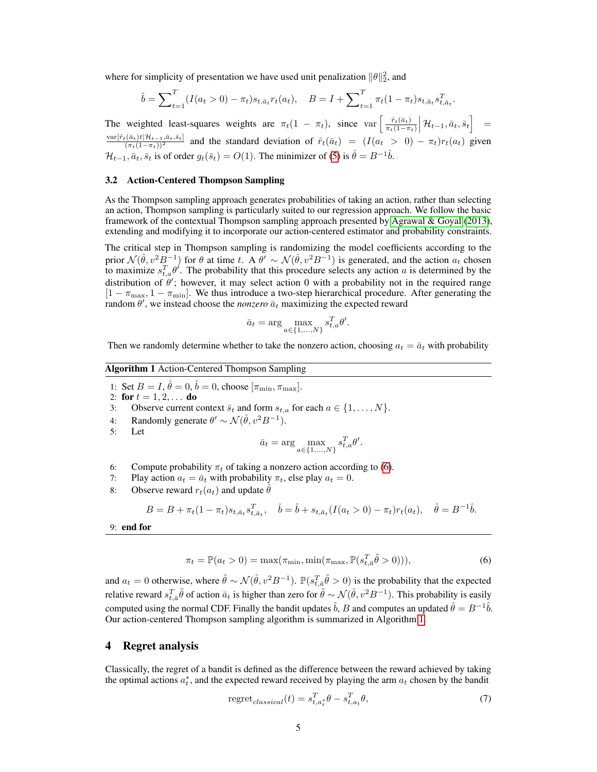where for simplicity of presentation we have used unit penalization  $\|\theta\|_2^2$ , and

$$
\hat{b} = \sum_{t=1}^{T} (I(a_t > 0) - \pi_t) s_{t, \bar{a}_t} r_t(a_t), \quad B = I + \sum_{t=1}^{T} \pi_t (1 - \pi_t) s_{t, \bar{a}_t} s_{t, \bar{a}_t}^T.
$$

The weighted least-squares weights are  $\pi_t(1 - \pi_t)$ , since var  $\left[\frac{\hat{r}_t(\bar{a}_t)}{\pi_t(1 - \pi_t)}\right]$  $\left[\frac{\hat{r}_t(\bar{a}_t)}{\pi_t(1-\pi_t)}\middle|\mathcal{H}_{t-1},\bar{a}_t,\bar{s}_t\right] =$  $\frac{\text{var}[\hat{r}_t(\bar{a}_t)t|\mathcal{H}_{t-1},\bar{a}_t,\bar{s}_t]}{(\pi_t(1-\pi_t))^2}$  and the standard deviation of  $\hat{r}_t(\bar{a}_t) = (I(a_t > 0) - \pi_t)r_t(a_t)$  given  $\frac{(\pi_t(1-\pi_t))^2}{(\pi_t(1-\pi_t), \bar{g}_t, \bar{g}_t)}$  and the standard deviation of  $r_t(u_t) = \frac{1}{(u_t - \bar{g}_t)^2}$ .

#### 3.2 Action-Centered Thompson Sampling

As the Thompson sampling approach generates probabilities of taking an action, rather than selecting an action, Thompson sampling is particularly suited to our regression approach. We follow the basic framework of the contextual Thompson sampling approach presented by Agrawal & Goyal (2013), extending and modifying it to incorporate our action-centered estimator and probability constraints.

The critical step in Thompson sampling is randomizing the model coefficients according to the prior  $\mathcal{N}(\hat{\theta}, v^2 B^{-1})$  for  $\theta$  at time t. A  $\theta' \sim \mathcal{N}(\hat{\theta}, v^2 B^{-1})$  is generated, and the action  $a_t$  chosen to maximize  $s_{t,a}^T \theta'$ . The probability that this procedure selects any action a is determined by the distribution of  $\theta'$ ; however, it may select action 0 with a probability not in the required range  $[1 - \pi_{\text{max}}, 1 - \pi_{\text{min}}]$ . We thus introduce a two-step hierarchical procedure. After generating the random  $\theta'$ , we instead choose the *nonzero*  $\bar{a}_t$  maximizing the expected reward

$$
\bar{a}_t = \arg\max_{a \in \{1, \dots, N\}} s_{t,a}^T \theta'.
$$

Then we randomly determine whether to take the nonzero action, choosing  $a_t = \bar{a}_t$  with probability

## Algorithm 1 Action-Centered Thompson Sampling

- 1: Set  $B = I$ ,  $\hat{\theta} = 0$ ,  $\hat{b} = 0$ , choose  $[\pi_{\min}, \pi_{\max}]$ .
- 2: for  $t = 1, 2, ...$  do
- 3: Observe current context  $\bar{s}_t$  and form  $s_{t,a}$  for each  $a \in \{1, \ldots, N\}$ .
- 4: Randomly generate  $\theta' \sim \mathcal{N}(\hat{\theta}, v^2 B^{-1})$ .
- 5: Let

$$
\bar{a}_t = \arg\max_{a \in \{1, ..., N\}} s_{t,a}^T \theta'.
$$

- 6: Compute probability  $\pi_t$  of taking a nonzero action according to (6).
- 7: Play action  $a_t = \bar{a}_t$  with probability  $\pi_t$ , else play  $a_t = 0$ .
- 8: Observe reward  $r_t(a_t)$  and update  $\hat{\theta}$

$$
B = B + \pi_t (1 - \pi_t) s_{t, \bar{a}_t} s_{t, \bar{a}_t}^T, \quad \hat{b} = \hat{b} + s_{t, \bar{a}_t} (I(a_t > 0) - \pi_t) r_t(a_t), \quad \hat{\theta} = B^{-1} \hat{b}.
$$

9: end for

$$
\pi_t = \mathbb{P}(a_t > 0) = \max(\pi_{\min}, \min(\pi_{\max}, \mathbb{P}(s_{t,\bar{a}}^T \tilde{\theta} > 0))),
$$
\n(6)

and  $a_t = 0$  otherwise, where  $\tilde{\theta} \sim \mathcal{N}(\hat{\theta}, v^2 B^{-1})$ .  $\mathbb{P}(s_{t,\bar{a}}^T \tilde{\theta} > 0)$  is the probability that the expected relative reward  $s_{t,\bar{a}}^T\tilde{\theta}$  of action  $\bar{a}_t$  is higher than zero for  $\tilde{\theta}\sim\mathcal{N}(\hat{\theta},v^2B^{-1})$ . This probability is easily computed using the normal CDF. Finally the bandit updates  $\hat{b}$ , B and computes an updated  $\hat{\theta} = B^{-1}\hat{b}$ . Our action-centered Thompson sampling algorithm is summarized in Algorithm 1.

## 4 Regret analysis

Classically, the regret of a bandit is defined as the difference between the reward achieved by taking the optimal actions  $a_t^*$ , and the expected reward received by playing the arm  $a_t$  chosen by the bandit

$$
regretclassical(t) = st,atT + \theta - st,atT + \theta,
$$
\n(7)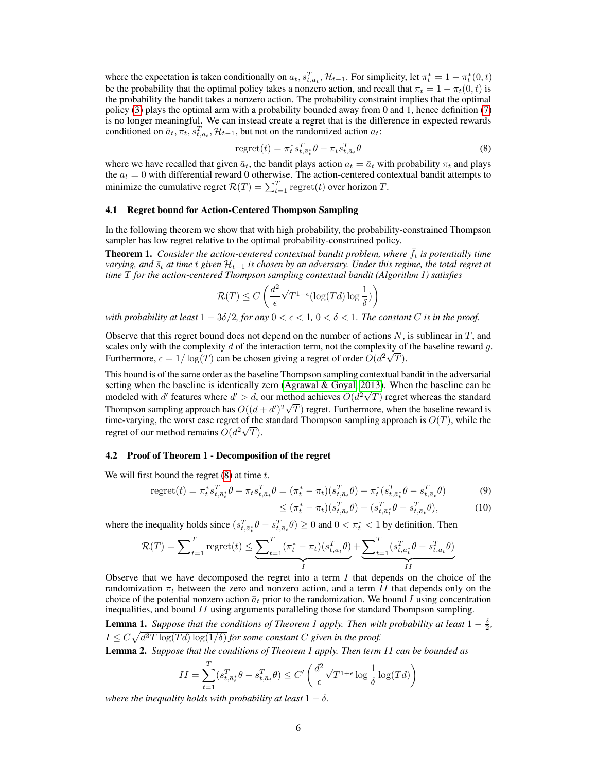where the expectation is taken conditionally on  $a_t$ ,  $s_{t,a_t}^T$ ,  $\mathcal{H}_{t-1}$ . For simplicity, let  $\pi_t^* = 1 - \pi_t^*(0,t)$ be the probability that the optimal policy takes a nonzero action, and recall that  $\pi_t = 1 - \pi_t(0, t)$  is the probability the bandit takes a nonzero action. The probability constraint implies that the optimal policy (3) plays the optimal arm with a probability bounded away from 0 and 1, hence definition (7) is no longer meaningful. We can instead create a regret that is the difference in expected rewards conditioned on  $\bar{a}_t, \pi_t, s_{t,a_t}^T, \mathcal{H}_{t-1}$ , but not on the randomized action  $a_t$ :

$$
regret(t) = \pi_t^* s_{t, \bar{a}_t^*}^T \theta - \pi_t s_{t, \bar{a}_t}^T \theta
$$
\n(8)

where we have recalled that given  $\bar{a}_t$ , the bandit plays action  $a_t = \bar{a}_t$  with probability  $\pi_t$  and plays the  $a_t = 0$  with differential reward 0 otherwise. The action-centered contextual bandit attempts to minimize the cumulative regret  $\mathcal{R}(T) = \sum_{t=1}^{T} \text{regret}(t)$  over horizon T.

#### 4.1 Regret bound for Action-Centered Thompson Sampling

In the following theorem we show that with high probability, the probability-constrained Thompson sampler has low regret relative to the optimal probability-constrained policy.

**Theorem 1.** *Consider the action-centered contextual bandit problem, where*  $\bar{f}_t$  *is potentially time varying, and*  $\bar{s}_t$  *at time t given*  $\mathcal{H}_{t-1}$  *is chosen by an adversary. Under this regime, the total regret at time* T *for the action-centered Thompson sampling contextual bandit (Algorithm 1) satisfies*

$$
\mathcal{R}(T) \le C\left(\frac{d^2}{\epsilon}\sqrt{T^{1+\epsilon}}(\log(Td)\log\frac{1}{\delta})\right)
$$

*with probability at least*  $1 - 3\delta/2$ , for any  $0 < \epsilon < 1$ ,  $0 < \delta < 1$ . The constant C is in the proof.

Observe that this regret bound does not depend on the number of actions  $N$ , is sublinear in  $T$ , and scales only with the complexity d of the interaction term, not the complexity of the baseline reward g. Furthermore,  $\epsilon = 1/\log(T)$  can be chosen giving a regret of order  $O(d^2\sqrt{T})$ .

This bound is of the same order as the baseline Thompson sampling contextual bandit in the adversarial setting when the baseline is identically zero (Agrawal & Goyal, 2013). When the baseline can be modeled with d' features where  $d' > d$ , our method achieves  $O(d^2\sqrt{T})$  regret whereas the standard Thompson sampling approach has  $O((d+d')^2\sqrt{T})$  regret. Furthermore, when the baseline reward is time-varying, the worst case regret of the standard Thompson sampling approach is  $O(T)$ , while the regret of our method remains  $O(d^2\sqrt{T})$ .

#### 4.2 Proof of Theorem 1 - Decomposition of the regret

We will first bound the regret  $(8)$  at time t.

regret
$$
(t) = \pi_t^* s_{t, \bar{a}_t^*}^T \theta - \pi_t s_{t, \bar{a}_t}^T \theta = (\pi_t^* - \pi_t)(s_{t, \bar{a}_t}^T \theta) + \pi_t^* (s_{t, \bar{a}_t^*}^T \theta - s_{t, \bar{a}_t}^T \theta) \tag{9}
$$

$$
\leq (\pi_t^* - \pi_t)(s_{t,\bar{a}_t}^T \theta) + (s_{t,\bar{a}_t^*}^T \theta - s_{t,\bar{a}_t}^T \theta), \tag{10}
$$

where the inequality holds since  $(s_{t,\bar{a}_{t}}^{T} \theta - s_{t,\bar{a}_{t}}^{T} \theta) \ge 0$  and  $0 < \pi_{t}^{*} < 1$  by definition. Then

$$
\mathcal{R}(T) = \sum_{t=1}^{T} \text{regret}(t) \le \underbrace{\sum_{t=1}^{T} (\pi_t^* - \pi_t)(s_{t,\bar{a}_t}^T \theta)}_{I} + \underbrace{\sum_{t=1}^{T} (s_{t,\bar{a}_t}^T \theta - s_{t,\bar{a}_t}^T \theta)}_{II}
$$

Observe that we have decomposed the regret into a term  $I$  that depends on the choice of the randomization  $\pi_t$  between the zero and nonzero action, and a term II that depends only on the choice of the potential nonzero action  $\bar{a}_t$  prior to the randomization. We bound I using concentration inequalities, and bound  $II$  using arguments paralleling those for standard Thompson sampling.

**Lemma 1.** Suppose that the conditions of Theorem 1 apply. Then with probability at least  $1 - \frac{\delta}{2}$ ,  $I \leq C \sqrt{d^3 T \log(Td) \log(1/\delta)}$  for some constant C given in the proof.

Lemma 2. *Suppose that the conditions of Theorem 1 apply. Then term* II *can be bounded as*

$$
II = \sum_{t=1}^{T} (s_{t,\bar{a}_t}^T \theta - s_{t,\bar{a}_t}^T \theta) \le C' \left( \frac{d^2}{\epsilon} \sqrt{T^{1+\epsilon}} \log \frac{1}{\delta} \log(Td) \right)
$$

*where the inequality holds with probability at least*  $1 - \delta$ .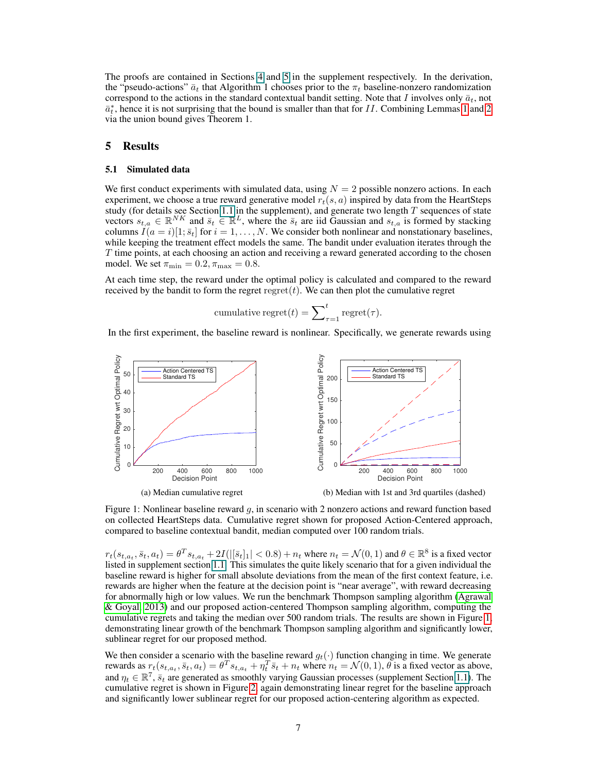The proofs are contained in Sections 4 and 5 in the supplement respectively. In the derivation, the "pseudo-actions"  $\bar{a}_t$  that Algorithm 1 chooses prior to the  $\pi_t$  baseline-nonzero randomization correspond to the actions in the standard contextual bandit setting. Note that I involves only  $\bar{a}_t$ , not  $\bar{a}_t^*$ , hence it is not surprising that the bound is smaller than that for II. Combining Lemmas 1 and 2 via the union bound gives Theorem 1.

## 5 Results

#### 5.1 Simulated data

We first conduct experiments with simulated data, using  $N = 2$  possible nonzero actions. In each experiment, we choose a true reward generative model  $r_t(s, a)$  inspired by data from the HeartSteps study (for details see Section 1.1 in the supplement), and generate two length  $T$  sequences of state vectors  $s_{t,a} \in \mathbb{R}^{NK}$  and  $\bar{s}_t \in \mathbb{R}^L$ , where the  $\bar{s}_t$  are iid Gaussian and  $s_{t,a}$  is formed by stacking columns  $I(a = i)[1; \bar{s}_t]$  for  $i = 1, ..., N$ . We consider both nonlinear and nonstationary baselines, while keeping the treatment effect models the same. The bandit under evaluation iterates through the  $T$  time points, at each choosing an action and receiving a reward generated according to the chosen model. We set  $\pi_{\min} = 0.2, \pi_{\max} = 0.8$ .

At each time step, the reward under the optimal policy is calculated and compared to the reward received by the bandit to form the regret regret $(t)$ . We can then plot the cumulative regret

cumulative regret
$$
(t)
$$
 =  $\sum_{\tau=1}^{t}$  regret $(\tau)$ .

In the first experiment, the baseline reward is nonlinear. Specifically, we generate rewards using



Figure 1: Nonlinear baseline reward  $g$ , in scenario with 2 nonzero actions and reward function based on collected HeartSteps data. Cumulative regret shown for proposed Action-Centered approach, compared to baseline contextual bandit, median computed over 100 random trials.

 $r_t(s_{t,a_t}, \bar{s}_t, a_t) = \theta^T s_{t,a_t} + 2I(||\bar{s}_t]_1| < 0.8) + n_t$  where  $n_t = \mathcal{N}(0, 1)$  and  $\theta \in \mathbb{R}^8$  is a fixed vector listed in supplement section 1.1. This simulates the quite likely scenario that for a given individual the baseline reward is higher for small absolute deviations from the mean of the first context feature, i.e. rewards are higher when the feature at the decision point is "near average", with reward decreasing for abnormally high or low values. We run the benchmark Thompson sampling algorithm (Agrawal & Goyal, 2013) and our proposed action-centered Thompson sampling algorithm, computing the cumulative regrets and taking the median over 500 random trials. The results are shown in Figure 1, demonstrating linear growth of the benchmark Thompson sampling algorithm and significantly lower, sublinear regret for our proposed method.

We then consider a scenario with the baseline reward  $g_t(\cdot)$  function changing in time. We generate rewards as  $r_t(s_{t,a_t}, \bar{s}_t, a_t) = \theta^T s_{t,a_t} + \eta_t^T \bar{s}_t + n_t$  where  $n_t = \mathcal{N}(0, 1)$ ,  $\theta$  is a fixed vector as above, and  $\eta_t \in \mathbb{R}^7$ ,  $\bar{s}_t$  are generated as smoothly varying Gaussian processes (supplement Section 1.1). The cumulative regret is shown in Figure 2, again demonstrating linear regret for the baseline approach and significantly lower sublinear regret for our proposed action-centering algorithm as expected.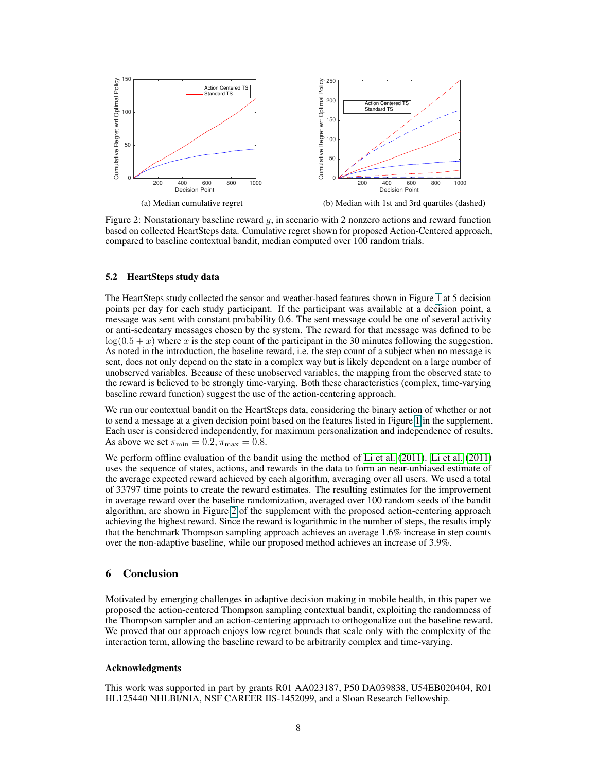

Figure 2: Nonstationary baseline reward  $g$ , in scenario with 2 nonzero actions and reward function based on collected HeartSteps data. Cumulative regret shown for proposed Action-Centered approach, compared to baseline contextual bandit, median computed over 100 random trials.

#### 5.2 HeartSteps study data

The HeartSteps study collected the sensor and weather-based features shown in Figure 1 at 5 decision points per day for each study participant. If the participant was available at a decision point, a message was sent with constant probability 0.6. The sent message could be one of several activity or anti-sedentary messages chosen by the system. The reward for that message was defined to be  $log(0.5 + x)$  where x is the step count of the participant in the 30 minutes following the suggestion. As noted in the introduction, the baseline reward, i.e. the step count of a subject when no message is sent, does not only depend on the state in a complex way but is likely dependent on a large number of unobserved variables. Because of these unobserved variables, the mapping from the observed state to the reward is believed to be strongly time-varying. Both these characteristics (complex, time-varying baseline reward function) suggest the use of the action-centering approach.

We run our contextual bandit on the HeartSteps data, considering the binary action of whether or not to send a message at a given decision point based on the features listed in Figure 1 in the supplement. Each user is considered independently, for maximum personalization and independence of results. As above we set  $\pi_{\min} = 0.2, \pi_{\max} = 0.8$ .

We perform offline evaluation of the bandit using the method of Li et al. (2011). Li et al. (2011) uses the sequence of states, actions, and rewards in the data to form an near-unbiased estimate of the average expected reward achieved by each algorithm, averaging over all users. We used a total of 33797 time points to create the reward estimates. The resulting estimates for the improvement in average reward over the baseline randomization, averaged over 100 random seeds of the bandit algorithm, are shown in Figure 2 of the supplement with the proposed action-centering approach achieving the highest reward. Since the reward is logarithmic in the number of steps, the results imply that the benchmark Thompson sampling approach achieves an average 1.6% increase in step counts over the non-adaptive baseline, while our proposed method achieves an increase of 3.9%.

## 6 Conclusion

Motivated by emerging challenges in adaptive decision making in mobile health, in this paper we proposed the action-centered Thompson sampling contextual bandit, exploiting the randomness of the Thompson sampler and an action-centering approach to orthogonalize out the baseline reward. We proved that our approach enjoys low regret bounds that scale only with the complexity of the interaction term, allowing the baseline reward to be arbitrarily complex and time-varying.

#### Acknowledgments

This work was supported in part by grants R01 AA023187, P50 DA039838, U54EB020404, R01 HL125440 NHLBI/NIA, NSF CAREER IIS-1452099, and a Sloan Research Fellowship.